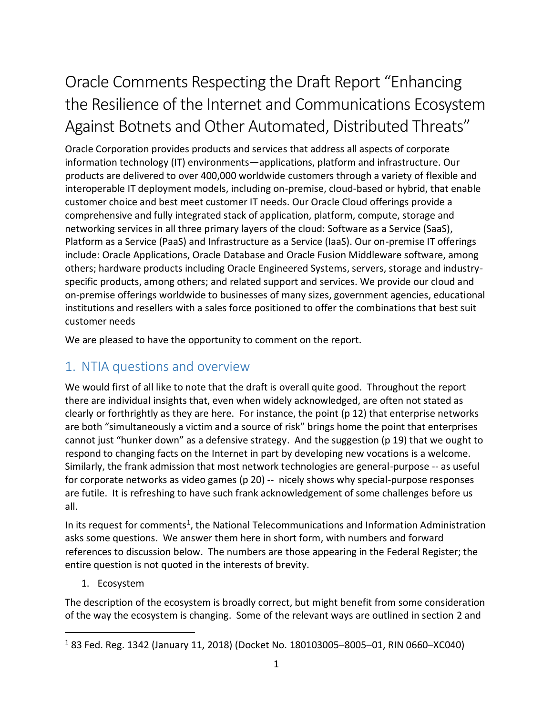# Oracle Comments Respecting the Draft Report "Enhancing the Resilience of the Internet and Communications Ecosystem Against Botnets and Other Automated, Distributed Threats"

Oracle Corporation provides products and services that address all aspects of corporate information technology (IT) environments—applications, platform and infrastructure. Our products are delivered to over 400,000 worldwide customers through a variety of flexible and interoperable IT deployment models, including on-premise, cloud-based or hybrid, that enable customer choice and best meet customer IT needs. Our Oracle Cloud offerings provide a comprehensive and fully integrated stack of application, platform, compute, storage and networking services in all three primary layers of the cloud: Software as a Service (SaaS), Platform as a Service (PaaS) and Infrastructure as a Service (IaaS). Our on-premise IT offerings include: Oracle Applications, Oracle Database and Oracle Fusion Middleware software, among others; hardware products including Oracle Engineered Systems, servers, storage and industryspecific products, among others; and related support and services. We provide our cloud and on-premise offerings worldwide to businesses of many sizes, government agencies, educational institutions and resellers with a sales force positioned to offer the combinations that best suit customer needs

We are pleased to have the opportunity to comment on the report.

### 1. NTIA questions and overview

We would first of all like to note that the draft is overall quite good. Throughout the report there are individual insights that, even when widely acknowledged, are often not stated as clearly or forthrightly as they are here. For instance, the point (p 12) that enterprise networks are both "simultaneously a victim and a source of risk" brings home the point that enterprises cannot just "hunker down" as a defensive strategy. And the suggestion (p 19) that we ought to respond to changing facts on the Internet in part by developing new vocations is a welcome. Similarly, the frank admission that most network technologies are general-purpose -- as useful for corporate networks as video games (p 20) -- nicely shows why special-purpose responses are futile. It is refreshing to have such frank acknowledgement of some challenges before us all.

In its request for comments<sup>1</sup>, the National Telecommunications and Information Administration asks some questions. We answer them here in short form, with numbers and forward references to discussion below. The numbers are those appearing in the Federal Register; the entire question is not quoted in the interests of brevity.

### 1. Ecosystem

 $\overline{a}$ 

The description of the ecosystem is broadly correct, but might benefit from some consideration of the way the ecosystem is changing. Some of the relevant ways are outlined in section [2](#page-3-0) and

<sup>1</sup> 83 Fed. Reg. 1342 (January 11, 2018) (Docket No. 180103005–8005–01, RIN 0660–XC040)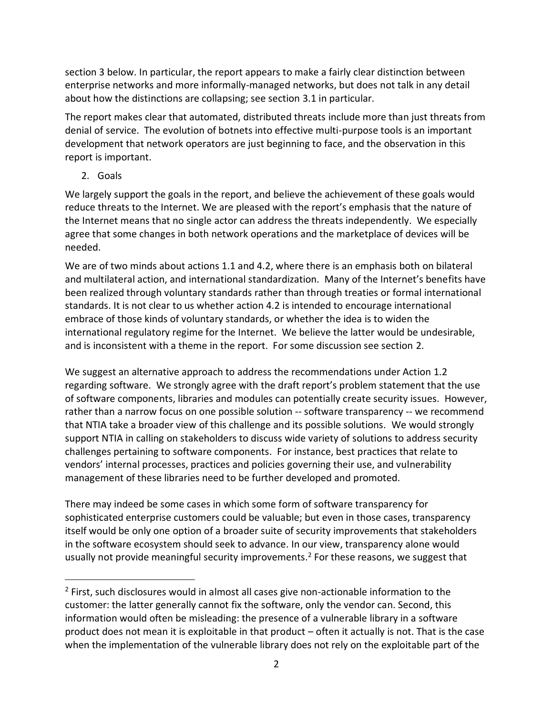section [3](#page-5-0) below. In particular, the report appears to make a fairly clear distinction between enterprise networks and more informally-managed networks, but does not talk in any detail about how the distinctions are collapsing; see section [3.1](#page-5-1) in particular.

The report makes clear that automated, distributed threats include more than just threats from denial of service. The evolution of botnets into effective multi-purpose tools is an important development that network operators are just beginning to face, and the observation in this report is important.

2. Goals

 $\overline{a}$ 

We largely support the goals in the report, and believe the achievement of these goals would reduce threats to the Internet. We are pleased with the report's emphasis that the nature of the Internet means that no single actor can address the threats independently. We especially agree that some changes in both network operations and the marketplace of devices will be needed.

We are of two minds about actions 1.1 and 4.2, where there is an emphasis both on bilateral and multilateral action, and international standardization. Many of the Internet's benefits have been realized through voluntary standards rather than through treaties or formal international standards. It is not clear to us whether action 4.2 is intended to encourage international embrace of those kinds of voluntary standards, or whether the idea is to widen the international regulatory regime for the Internet. We believe the latter would be undesirable, and is inconsistent with a theme in the report. For some discussion see section [2.](#page-3-0)

We suggest an alternative approach to address the recommendations under Action 1.2 regarding software. We strongly agree with the draft report's problem statement that the use of software components, libraries and modules can potentially create security issues. However, rather than a narrow focus on one possible solution -- software transparency -- we recommend that NTIA take a broader view of this challenge and its possible solutions. We would strongly support NTIA in calling on stakeholders to discuss wide variety of solutions to address security challenges pertaining to software components. For instance, best practices that relate to vendors' internal processes, practices and policies governing their use, and vulnerability management of these libraries need to be further developed and promoted.

There may indeed be some cases in which some form of software transparency for sophisticated enterprise customers could be valuable; but even in those cases, transparency itself would be only one option of a broader suite of security improvements that stakeholders in the software ecosystem should seek to advance. In our view, transparency alone would usually not provide meaningful security improvements.<sup>2</sup> For these reasons, we suggest that

<sup>&</sup>lt;sup>2</sup> First, such disclosures would in almost all cases give non-actionable information to the customer: the latter generally cannot fix the software, only the vendor can. Second, this information would often be misleading: the presence of a vulnerable library in a software product does not mean it is exploitable in that product – often it actually is not. That is the case when the implementation of the vulnerable library does not rely on the exploitable part of the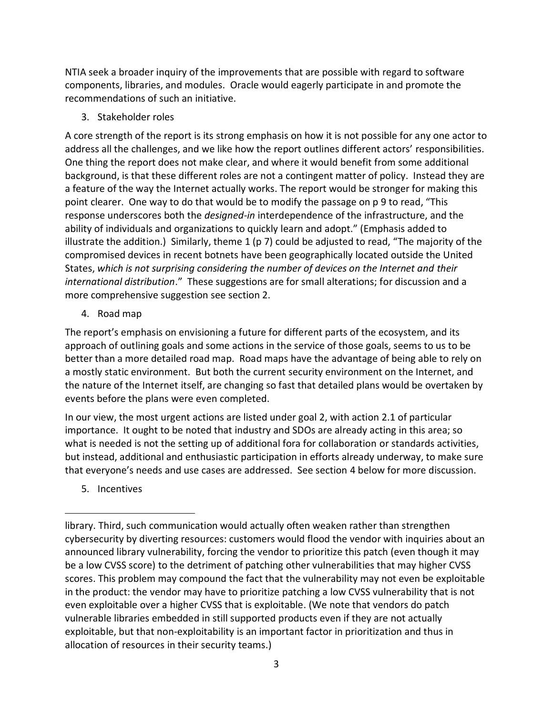NTIA seek a broader inquiry of the improvements that are possible with regard to software components, libraries, and modules. Oracle would eagerly participate in and promote the recommendations of such an initiative.

<span id="page-2-0"></span>3. Stakeholder roles

A core strength of the report is its strong emphasis on how it is not possible for any one actor to address all the challenges, and we like how the report outlines different actors' responsibilities. One thing the report does not make clear, and where it would benefit from some additional background, is that these different roles are not a contingent matter of policy. Instead they are a feature of the way the Internet actually works. The report would be stronger for making this point clearer. One way to do that would be to modify the passage on p 9 to read, "This response underscores both the *designed-in* interdependence of the infrastructure, and the ability of individuals and organizations to quickly learn and adopt." (Emphasis added to illustrate the addition.) Similarly, theme  $1$  (p 7) could be adjusted to read, "The majority of the compromised devices in recent botnets have been geographically located outside the United States, *which is not surprising considering the number of devices on the Internet and their international distribution*." These suggestions are for small alterations; for discussion and a more comprehensive suggestion see section [2.](#page-3-0)

4. Road map

The report's emphasis on envisioning a future for different parts of the ecosystem, and its approach of outlining goals and some actions in the service of those goals, seems to us to be better than a more detailed road map. Road maps have the advantage of being able to rely on a mostly static environment. But both the current security environment on the Internet, and the nature of the Internet itself, are changing so fast that detailed plans would be overtaken by events before the plans were even completed.

In our view, the most urgent actions are listed under goal 2, with action 2.1 of particular importance. It ought to be noted that industry and SDOs are already acting in this area; so what is needed is not the setting up of additional fora for collaboration or standards activities, but instead, additional and enthusiastic participation in efforts already underway, to make sure that everyone's needs and use cases are addressed. See section [4](#page-8-0) below for more discussion.

5. Incentives

 $\overline{a}$ 

library. Third, such communication would actually often weaken rather than strengthen cybersecurity by diverting resources: customers would flood the vendor with inquiries about an announced library vulnerability, forcing the vendor to prioritize this patch (even though it may be a low CVSS score) to the detriment of patching other vulnerabilities that may higher CVSS scores. This problem may compound the fact that the vulnerability may not even be exploitable in the product: the vendor may have to prioritize patching a low CVSS vulnerability that is not even exploitable over a higher CVSS that is exploitable. (We note that vendors do patch vulnerable libraries embedded in still supported products even if they are not actually exploitable, but that non-exploitability is an important factor in prioritization and thus in allocation of resources in their security teams.)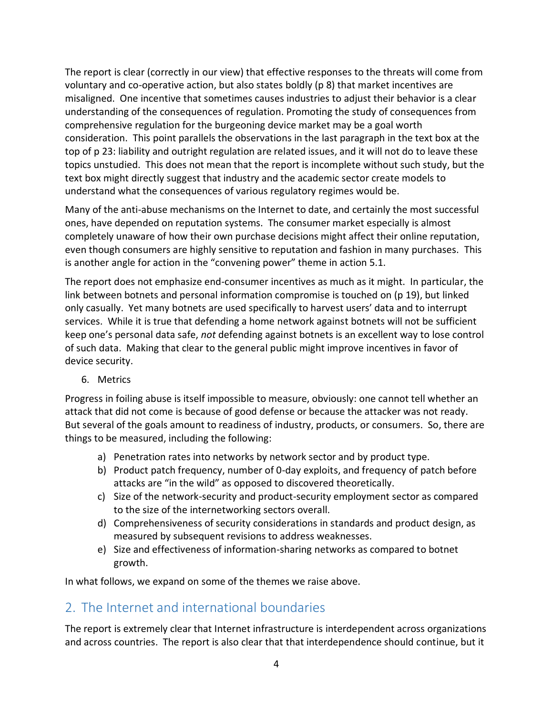The report is clear (correctly in our view) that effective responses to the threats will come from voluntary and co-operative action, but also states boldly (p 8) that market incentives are misaligned. One incentive that sometimes causes industries to adjust their behavior is a clear understanding of the consequences of regulation. Promoting the study of consequences from comprehensive regulation for the burgeoning device market may be a goal worth consideration. This point parallels the observations in the last paragraph in the text box at the top of p 23: liability and outright regulation are related issues, and it will not do to leave these topics unstudied. This does not mean that the report is incomplete without such study, but the text box might directly suggest that industry and the academic sector create models to understand what the consequences of various regulatory regimes would be.

Many of the anti-abuse mechanisms on the Internet to date, and certainly the most successful ones, have depended on reputation systems. The consumer market especially is almost completely unaware of how their own purchase decisions might affect their online reputation, even though consumers are highly sensitive to reputation and fashion in many purchases. This is another angle for action in the "convening power" theme in action 5.1.

The report does not emphasize end-consumer incentives as much as it might. In particular, the link between botnets and personal information compromise is touched on (p 19), but linked only casually. Yet many botnets are used specifically to harvest users' data and to interrupt services. While it is true that defending a home network against botnets will not be sufficient keep one's personal data safe, *not* defending against botnets is an excellent way to lose control of such data. Making that clear to the general public might improve incentives in favor of device security.

6. Metrics

Progress in foiling abuse is itself impossible to measure, obviously: one cannot tell whether an attack that did not come is because of good defense or because the attacker was not ready. But several of the goals amount to readiness of industry, products, or consumers. So, there are things to be measured, including the following:

- a) Penetration rates into networks by network sector and by product type.
- b) Product patch frequency, number of 0-day exploits, and frequency of patch before attacks are "in the wild" as opposed to discovered theoretically.
- c) Size of the network-security and product-security employment sector as compared to the size of the internetworking sectors overall.
- d) Comprehensiveness of security considerations in standards and product design, as measured by subsequent revisions to address weaknesses.
- e) Size and effectiveness of information-sharing networks as compared to botnet growth.

<span id="page-3-0"></span>In what follows, we expand on some of the themes we raise above.

### 2. The Internet and international boundaries

The report is extremely clear that Internet infrastructure is interdependent across organizations and across countries. The report is also clear that that interdependence should continue, but it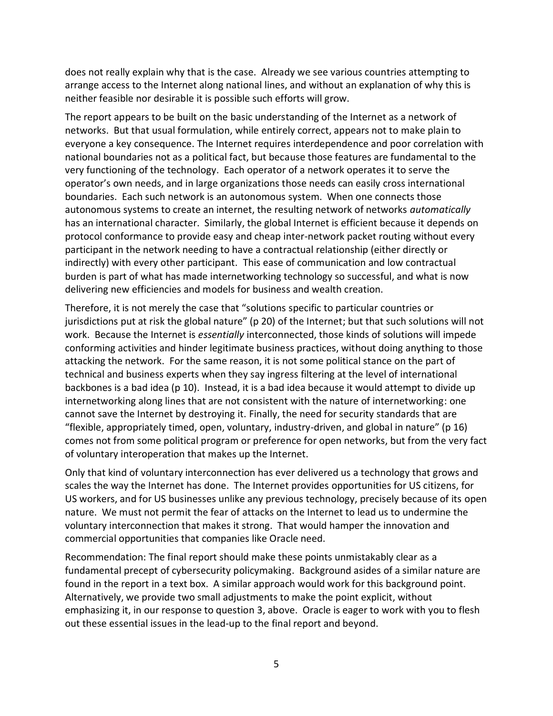does not really explain why that is the case. Already we see various countries attempting to arrange access to the Internet along national lines, and without an explanation of why this is neither feasible nor desirable it is possible such efforts will grow.

The report appears to be built on the basic understanding of the Internet as a network of networks. But that usual formulation, while entirely correct, appears not to make plain to everyone a key consequence. The Internet requires interdependence and poor correlation with national boundaries not as a political fact, but because those features are fundamental to the very functioning of the technology. Each operator of a network operates it to serve the operator's own needs, and in large organizations those needs can easily cross international boundaries. Each such network is an autonomous system. When one connects those autonomous systems to create an internet, the resulting network of networks *automatically* has an international character. Similarly, the global Internet is efficient because it depends on protocol conformance to provide easy and cheap inter-network packet routing without every participant in the network needing to have a contractual relationship (either directly or indirectly) with every other participant. This ease of communication and low contractual burden is part of what has made internetworking technology so successful, and what is now delivering new efficiencies and models for business and wealth creation.

Therefore, it is not merely the case that "solutions specific to particular countries or jurisdictions put at risk the global nature" (p 20) of the Internet; but that such solutions will not work. Because the Internet is *essentially* interconnected, those kinds of solutions will impede conforming activities and hinder legitimate business practices, without doing anything to those attacking the network. For the same reason, it is not some political stance on the part of technical and business experts when they say ingress filtering at the level of international backbones is a bad idea (p 10). Instead, it is a bad idea because it would attempt to divide up internetworking along lines that are not consistent with the nature of internetworking: one cannot save the Internet by destroying it. Finally, the need for security standards that are "flexible, appropriately timed, open, voluntary, industry-driven, and global in nature" (p 16) comes not from some political program or preference for open networks, but from the very fact of voluntary interoperation that makes up the Internet.

Only that kind of voluntary interconnection has ever delivered us a technology that grows and scales the way the Internet has done. The Internet provides opportunities for US citizens, for US workers, and for US businesses unlike any previous technology, precisely because of its open nature. We must not permit the fear of attacks on the Internet to lead us to undermine the voluntary interconnection that makes it strong. That would hamper the innovation and commercial opportunities that companies like Oracle need.

Recommendation: The final report should make these points unmistakably clear as a fundamental precept of cybersecurity policymaking. Background asides of a similar nature are found in the report in a text box. A similar approach would work for this background point. Alternatively, we provide two small adjustments to make the point explicit, without emphasizing it, in our response to question [3,](#page-2-0) above. Oracle is eager to work with you to flesh out these essential issues in the lead-up to the final report and beyond.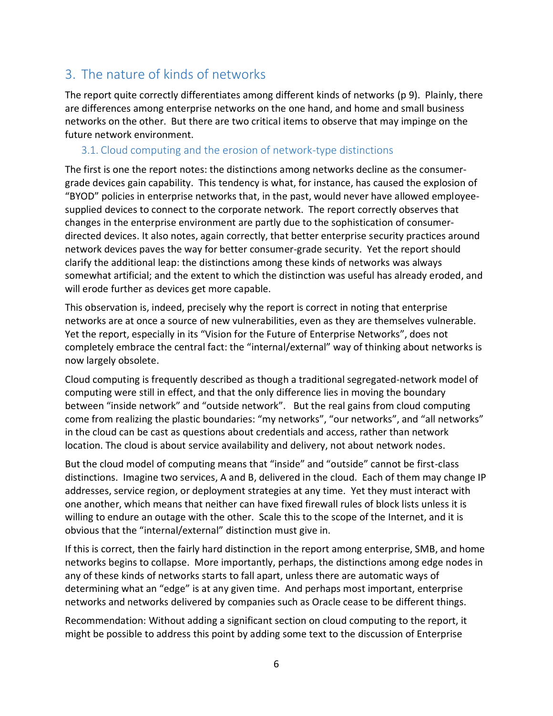### <span id="page-5-0"></span>3. The nature of kinds of networks

The report quite correctly differentiates among different kinds of networks (p 9). Plainly, there are differences among enterprise networks on the one hand, and home and small business networks on the other. But there are two critical items to observe that may impinge on the future network environment.

#### <span id="page-5-1"></span>3.1. Cloud computing and the erosion of network-type distinctions

The first is one the report notes: the distinctions among networks decline as the consumergrade devices gain capability. This tendency is what, for instance, has caused the explosion of "BYOD" policies in enterprise networks that, in the past, would never have allowed employeesupplied devices to connect to the corporate network. The report correctly observes that changes in the enterprise environment are partly due to the sophistication of consumerdirected devices. It also notes, again correctly, that better enterprise security practices around network devices paves the way for better consumer-grade security. Yet the report should clarify the additional leap: the distinctions among these kinds of networks was always somewhat artificial; and the extent to which the distinction was useful has already eroded, and will erode further as devices get more capable.

This observation is, indeed, precisely why the report is correct in noting that enterprise networks are at once a source of new vulnerabilities, even as they are themselves vulnerable. Yet the report, especially in its "Vision for the Future of Enterprise Networks", does not completely embrace the central fact: the "internal/external" way of thinking about networks is now largely obsolete.

Cloud computing is frequently described as though a traditional segregated-network model of computing were still in effect, and that the only difference lies in moving the boundary between "inside network" and "outside network". But the real gains from cloud computing come from realizing the plastic boundaries: "my networks", "our networks", and "all networks" in the cloud can be cast as questions about credentials and access, rather than network location. The cloud is about service availability and delivery, not about network nodes.

But the cloud model of computing means that "inside" and "outside" cannot be first-class distinctions. Imagine two services, A and B, delivered in the cloud. Each of them may change IP addresses, service region, or deployment strategies at any time. Yet they must interact with one another, which means that neither can have fixed firewall rules of block lists unless it is willing to endure an outage with the other. Scale this to the scope of the Internet, and it is obvious that the "internal/external" distinction must give in.

If this is correct, then the fairly hard distinction in the report among enterprise, SMB, and home networks begins to collapse. More importantly, perhaps, the distinctions among edge nodes in any of these kinds of networks starts to fall apart, unless there are automatic ways of determining what an "edge" is at any given time. And perhaps most important, enterprise networks and networks delivered by companies such as Oracle cease to be different things.

Recommendation: Without adding a significant section on cloud computing to the report, it might be possible to address this point by adding some text to the discussion of Enterprise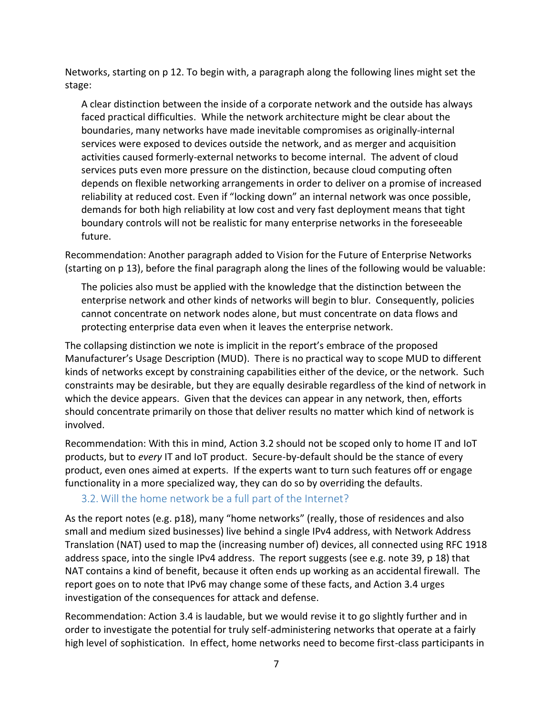Networks, starting on p 12. To begin with, a paragraph along the following lines might set the stage:

A clear distinction between the inside of a corporate network and the outside has always faced practical difficulties. While the network architecture might be clear about the boundaries, many networks have made inevitable compromises as originally-internal services were exposed to devices outside the network, and as merger and acquisition activities caused formerly-external networks to become internal. The advent of cloud services puts even more pressure on the distinction, because cloud computing often depends on flexible networking arrangements in order to deliver on a promise of increased reliability at reduced cost. Even if "locking down" an internal network was once possible, demands for both high reliability at low cost and very fast deployment means that tight boundary controls will not be realistic for many enterprise networks in the foreseeable future.

Recommendation: Another paragraph added to Vision for the Future of Enterprise Networks (starting on p 13), before the final paragraph along the lines of the following would be valuable:

The policies also must be applied with the knowledge that the distinction between the enterprise network and other kinds of networks will begin to blur. Consequently, policies cannot concentrate on network nodes alone, but must concentrate on data flows and protecting enterprise data even when it leaves the enterprise network.

The collapsing distinction we note is implicit in the report's embrace of the proposed Manufacturer's Usage Description (MUD). There is no practical way to scope MUD to different kinds of networks except by constraining capabilities either of the device, or the network. Such constraints may be desirable, but they are equally desirable regardless of the kind of network in which the device appears. Given that the devices can appear in any network, then, efforts should concentrate primarily on those that deliver results no matter which kind of network is involved.

Recommendation: With this in mind, Action 3.2 should not be scoped only to home IT and IoT products, but to *every* IT and IoT product. Secure-by-default should be the stance of every product, even ones aimed at experts. If the experts want to turn such features off or engage functionality in a more specialized way, they can do so by overriding the defaults.

#### 3.2. Will the home network be a full part of the Internet?

As the report notes (e.g. p18), many "home networks" (really, those of residences and also small and medium sized businesses) live behind a single IPv4 address, with Network Address Translation (NAT) used to map the (increasing number of) devices, all connected using RFC 1918 address space, into the single IPv4 address. The report suggests (see e.g. note 39, p 18) that NAT contains a kind of benefit, because it often ends up working as an accidental firewall. The report goes on to note that IPv6 may change some of these facts, and Action 3.4 urges investigation of the consequences for attack and defense.

Recommendation: Action 3.4 is laudable, but we would revise it to go slightly further and in order to investigate the potential for truly self-administering networks that operate at a fairly high level of sophistication. In effect, home networks need to become first-class participants in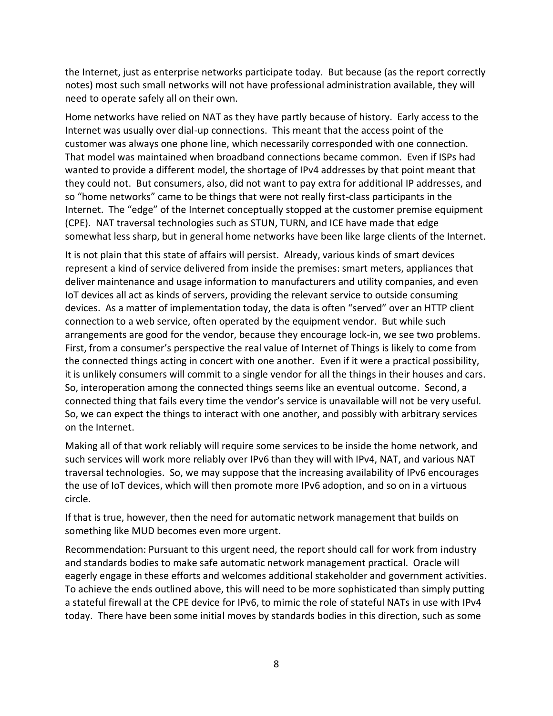the Internet, just as enterprise networks participate today. But because (as the report correctly notes) most such small networks will not have professional administration available, they will need to operate safely all on their own.

Home networks have relied on NAT as they have partly because of history. Early access to the Internet was usually over dial-up connections. This meant that the access point of the customer was always one phone line, which necessarily corresponded with one connection. That model was maintained when broadband connections became common. Even if ISPs had wanted to provide a different model, the shortage of IPv4 addresses by that point meant that they could not. But consumers, also, did not want to pay extra for additional IP addresses, and so "home networks" came to be things that were not really first-class participants in the Internet. The "edge" of the Internet conceptually stopped at the customer premise equipment (CPE). NAT traversal technologies such as STUN, TURN, and ICE have made that edge somewhat less sharp, but in general home networks have been like large clients of the Internet.

It is not plain that this state of affairs will persist. Already, various kinds of smart devices represent a kind of service delivered from inside the premises: smart meters, appliances that deliver maintenance and usage information to manufacturers and utility companies, and even IoT devices all act as kinds of servers, providing the relevant service to outside consuming devices. As a matter of implementation today, the data is often "served" over an HTTP client connection to a web service, often operated by the equipment vendor. But while such arrangements are good for the vendor, because they encourage lock-in, we see two problems. First, from a consumer's perspective the real value of Internet of Things is likely to come from the connected things acting in concert with one another. Even if it were a practical possibility, it is unlikely consumers will commit to a single vendor for all the things in their houses and cars. So, interoperation among the connected things seems like an eventual outcome. Second, a connected thing that fails every time the vendor's service is unavailable will not be very useful. So, we can expect the things to interact with one another, and possibly with arbitrary services on the Internet.

Making all of that work reliably will require some services to be inside the home network, and such services will work more reliably over IPv6 than they will with IPv4, NAT, and various NAT traversal technologies. So, we may suppose that the increasing availability of IPv6 encourages the use of IoT devices, which will then promote more IPv6 adoption, and so on in a virtuous circle.

If that is true, however, then the need for automatic network management that builds on something like MUD becomes even more urgent.

Recommendation: Pursuant to this urgent need, the report should call for work from industry and standards bodies to make safe automatic network management practical. Oracle will eagerly engage in these efforts and welcomes additional stakeholder and government activities. To achieve the ends outlined above, this will need to be more sophisticated than simply putting a stateful firewall at the CPE device for IPv6, to mimic the role of stateful NATs in use with IPv4 today. There have been some initial moves by standards bodies in this direction, such as some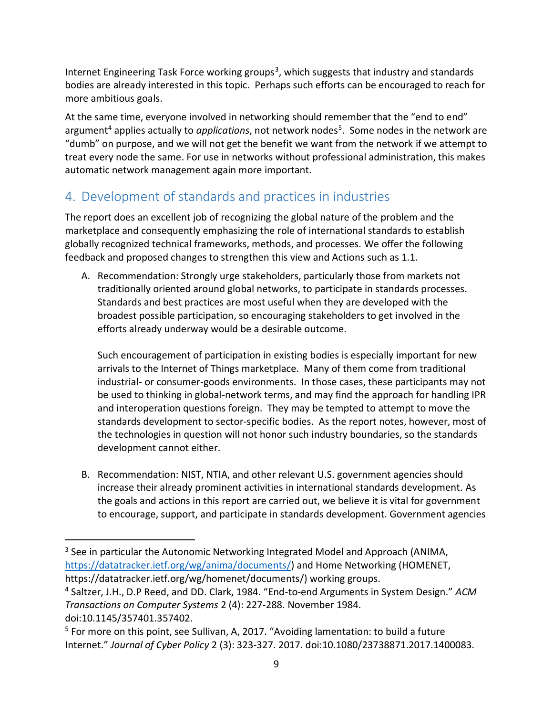Internet Engineering Task Force working groups<sup>3</sup>, which suggests that industry and standards bodies are already interested in this topic. Perhaps such efforts can be encouraged to reach for more ambitious goals.

At the same time, everyone involved in networking should remember that the "end to end" argument<sup>4</sup> applies actually to *applications,* not network nodes<sup>5</sup>. Some nodes in the network are "dumb" on purpose, and we will not get the benefit we want from the network if we attempt to treat every node the same. For use in networks without professional administration, this makes automatic network management again more important.

### <span id="page-8-0"></span>4. Development of standards and practices in industries

The report does an excellent job of recognizing the global nature of the problem and the marketplace and consequently emphasizing the role of international standards to establish globally recognized technical frameworks, methods, and processes. We offer the following feedback and proposed changes to strengthen this view and Actions such as 1.1.

A. Recommendation: Strongly urge stakeholders, particularly those from markets not traditionally oriented around global networks, to participate in standards processes. Standards and best practices are most useful when they are developed with the broadest possible participation, so encouraging stakeholders to get involved in the efforts already underway would be a desirable outcome.

Such encouragement of participation in existing bodies is especially important for new arrivals to the Internet of Things marketplace. Many of them come from traditional industrial- or consumer-goods environments. In those cases, these participants may not be used to thinking in global-network terms, and may find the approach for handling IPR and interoperation questions foreign. They may be tempted to attempt to move the standards development to sector-specific bodies. As the report notes, however, most of the technologies in question will not honor such industry boundaries, so the standards development cannot either.

B. Recommendation: NIST, NTIA, and other relevant U.S. government agencies should increase their already prominent activities in international standards development. As the goals and actions in this report are carried out, we believe it is vital for government to encourage, support, and participate in standards development. Government agencies

 $\overline{a}$ <sup>3</sup> See in particular the Autonomic Networking Integrated Model and Approach (ANIMA, [https://datatracker.ietf.org/wg/anima/documents/\)](https://datatracker.ietf.org/wg/anima/documents/) and Home Networking (HOMENET, https://datatracker.ietf.org/wg/homenet/documents/) working groups.

<sup>4</sup> Saltzer, J.H., D.P Reed, and DD. Clark, 1984. "End-to-end Arguments in System Design." *ACM Transactions on Computer Systems* 2 (4): 227-288. November 1984. doi:10.1145/357401.357402.

<sup>&</sup>lt;sup>5</sup> For more on this point, see Sullivan, A, 2017. "Avoiding lamentation: to build a future Internet." *Journal of Cyber Policy* 2 (3): 323-327. 2017. doi:10.1080/23738871.2017.1400083.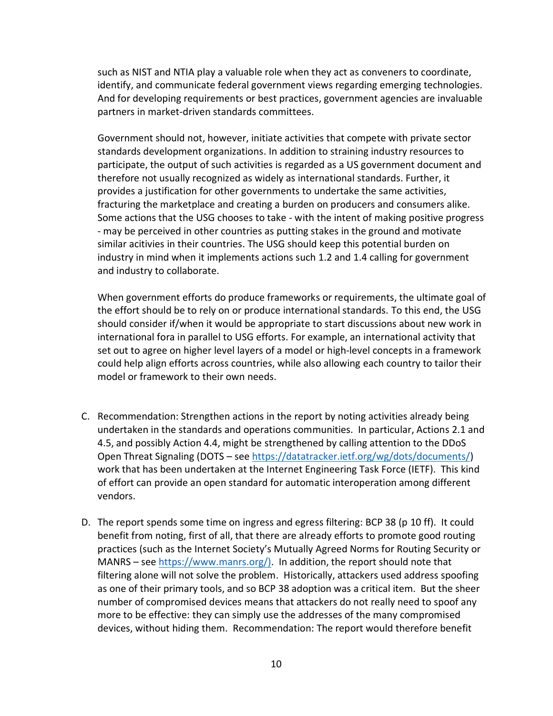such as NIST and NTIA play a valuable role when they act as conveners to coordinate, identify, and communicate federal government views regarding emerging technologies. And for developing requirements or best practices, government agencies are invaluable partners in market-driven standards committees.

Government should not, however, initiate activities that compete with private sector standards development organizations. In addition to straining industry resources to participate, the output of such activities is regarded as a US government document and therefore not usually recognized as widely as international standards. Further, it provides a justification for other governments to undertake the same activities, fracturing the marketplace and creating a burden on producers and consumers alike. Some actions that the USG chooses to take - with the intent of making positive progress - may be perceived in other countries as putting stakes in the ground and motivate similar acitivies in their countries. The USG should keep this potential burden on industry in mind when it implements actions such 1.2 and 1.4 calling for government and industry to collaborate.

When government efforts do produce frameworks or requirements, the ultimate goal of the effort should be to rely on or produce international standards. To this end, the USG should consider if/when it would be appropriate to start discussions about new work in international fora in parallel to USG efforts. For example, an international activity that set out to agree on higher level layers of a model or high-level concepts in a framework could help align efforts across countries, while also allowing each country to tailor their model or framework to their own needs.

- C. Recommendation: Strengthen actions in the report by noting activities already being undertaken in the standards and operations communities. In particular, Actions 2.1 and 4.5, and possibly Action 4.4, might be strengthened by calling attention to the DDoS Open Threat Signaling (DOTS – see [https://datatracker.ietf.org/wg/dots/documents/\)](https://datatracker.ietf.org/wg/dots/documents/) work that has been undertaken at the Internet Engineering Task Force (IETF). This kind of effort can provide an open standard for automatic interoperation among different vendors.
- D. The report spends some time on ingress and egress filtering: BCP 38 (p 10 ff). It could benefit from noting, first of all, that there are already efforts to promote good routing practices (such as the Internet Society's Mutually Agreed Norms for Routing Security or MANRS – se[e https://www.manrs.org/\).](https://www.manrs.org/)) In addition, the report should note that filtering alone will not solve the problem. Historically, attackers used address spoofing as one of their primary tools, and so BCP 38 adoption was a critical item. But the sheer number of compromised devices means that attackers do not really need to spoof any more to be effective: they can simply use the addresses of the many compromised devices, without hiding them. Recommendation: The report would therefore benefit